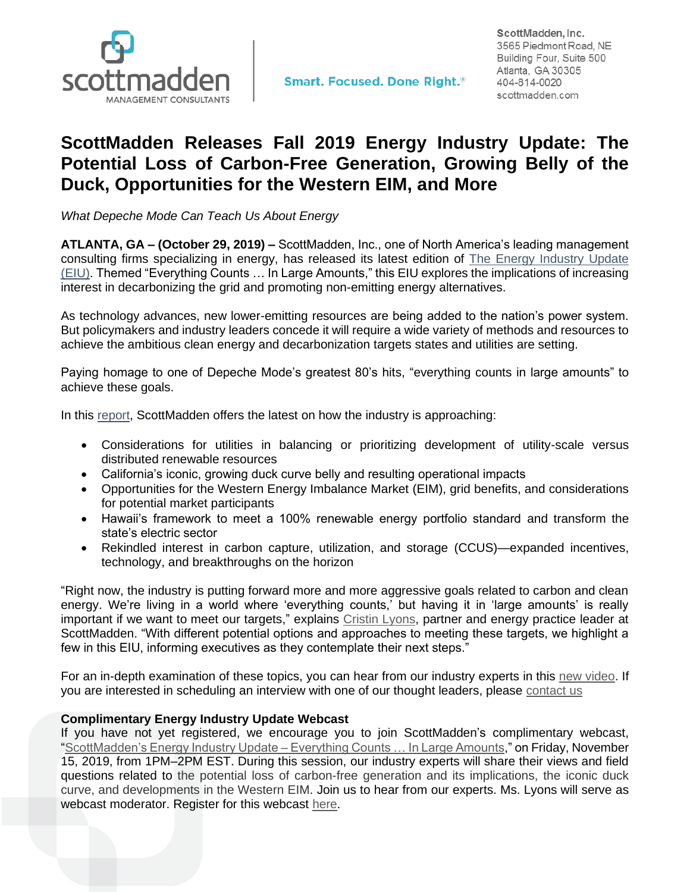

## **ScottMadden Releases Fall 2019 Energy Industry Update: The Potential Loss of Carbon-Free Generation, Growing Belly of the Duck, Opportunities for the Western EIM, and More**

*What Depeche Mode Can Teach Us About Energy*

**ATLANTA, GA – (October 29, 2019) –** ScottMadden, Inc., one of North America's leading management consulting firms specializing in energy, has released its latest edition of [The Energy Industry Update](https://www.scottmadden.com/energy-industry-update/?utm_source=email&utm_medium=press-release&utm_campaign=eiu-2019q4&utm_content=eiu-v19i2-report-download)  [\(EIU\).](https://www.scottmadden.com/energy-industry-update/?utm_source=email&utm_medium=press-release&utm_campaign=eiu-2019q4&utm_content=eiu-v19i2-report-download) Themed "Everything Counts … In Large Amounts," this EIU explores the implications of increasing interest in decarbonizing the grid and promoting non-emitting energy alternatives.

As technology advances, new lower-emitting resources are being added to the nation's power system. But policymakers and industry leaders concede it will require a wide variety of methods and resources to achieve the ambitious clean energy and decarbonization targets states and utilities are setting.

Paying homage to one of Depeche Mode's greatest 80's hits, "everything counts in large amounts" to achieve these goals.

In this [report,](https://www.scottmadden.com/energy-industry-update/?utm_source=email&utm_medium=press-release&utm_campaign=eiu-2019q4&utm_content=eiu-v19i2-report-download) ScottMadden offers the latest on how the industry is approaching:

- Considerations for utilities in balancing or prioritizing development of utility-scale versus distributed renewable resources
- California's iconic, growing duck curve belly and resulting operational impacts
- Opportunities for the Western Energy Imbalance Market (EIM), grid benefits, and considerations for potential market participants
- Hawaii's framework to meet a 100% renewable energy portfolio standard and transform the state's electric sector
- Rekindled interest in carbon capture, utilization, and storage (CCUS)—expanded incentives, technology, and breakthroughs on the horizon

"Right now, the industry is putting forward more and more aggressive goals related to carbon and clean energy. We're living in a world where 'everything counts,' but having it in 'large amounts' is really important if we want to meet our targets," explains [Cristin Lyons,](https://www.scottmadden.com/person/cristin-lyons/?utm_source=email&utm_medium=press-release&utm_campaign=eiu-2019q4&utm_content=cristin-lyons-bio) partner and energy practice leader at ScottMadden. "With different potential options and approaches to meeting these targets, we highlight a few in this EIU, informing executives as they contemplate their next steps."

For an in-depth examination of these topics, you can hear from our industry experts in this [new video.](https://www.youtube.com/watch?v=VTUA3pcBMC8&feature=youtu.be&utm_source=email&utm_medium=press-release&utm_campaign=eiu-2019q4&utm_content=eiu-v19i2-video-link) If you are interested in scheduling an interview with one of our thought leaders, please [contact us](https://www.scottmadden.com/contact-us/?utm_source=email&utm_medium=press-release&utm_campaign=eiu-2019q4&utm_content=contact-us)

## **Complimentary Energy Industry Update Webcast**

If you have not yet registered, we encourage you to join ScottMadden's complimentary webcast, ["ScottMadden's Energy Industry Update –](https://register.gotowebinar.com/register/1757827024367079937?source=sm_reach_out&utm_source=email&utm_medium=press-release&utm_campaign=eiu-2019q4&utm_content=eiu-v19i2-webinar-reg) Everything Counts … In Large Amounts," on Friday, November 15, 2019, from 1PM–2PM EST. During this session, our industry experts will share their views and field questions related to the potential loss of carbon-free generation and its implications, the iconic duck curve, and developments in the Western EIM. Join us to hear from our experts. Ms. Lyons will serve as webcast moderator. Register for this webcast [here.](https://register.gotowebinar.com/register/1757827024367079937?source=sm_reach_out&utm_source=email&utm_medium=press-release&utm_campaign=eiu-2019q4&utm_content=eiu-v19i2-webinar-reg)